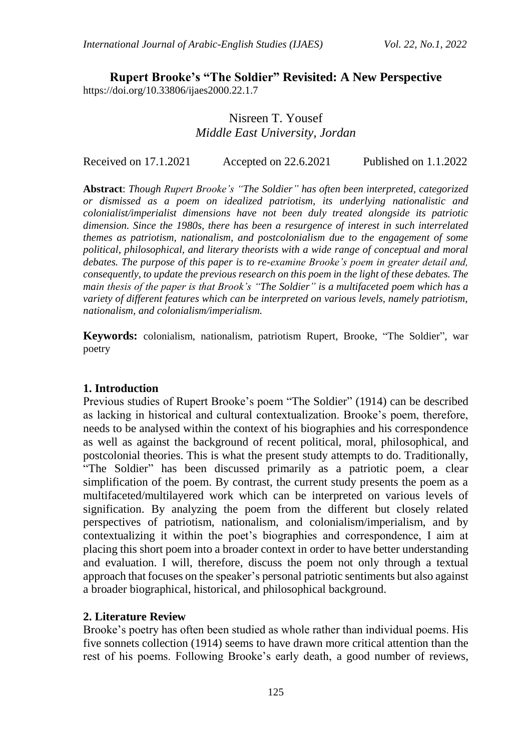**Rupert Brooke's "The Soldier" Revisited: A New Perspective** https://doi.org/10.33806/ijaes2000.22.1.7

# Nisreen T. Yousef *Middle East University, Jordan*

Received on 17.1.2021 Accepted on 22.6.2021 Published on 1.1.2022

**Abstract**: *Though Rupert Brooke's "The Soldier" has often been interpreted, categorized or dismissed as a poem on idealized patriotism, its underlying nationalistic and colonialist/imperialist dimensions have not been duly treated alongside its patriotic dimension. Since the 1980s, there has been a resurgence of interest in such interrelated themes as patriotism, nationalism, and postcolonialism due to the engagement of some political, philosophical, and literary theorists with a wide range of conceptual and moral debates. The purpose of this paper is to re-examine Brooke's poem in greater detail and, consequently, to update the previous research on this poem in the light of these debates. The main thesis of the paper is that Brook's "The Soldier" is a multifaceted poem which has a variety of different features which can be interpreted on various levels, namely patriotism, nationalism, and colonialism/imperialism.*

**Keywords:** colonialism, nationalism, patriotism Rupert, Brooke, "The Soldier", war poetry

#### **1. Introduction**

Previous studies of Rupert Brooke's poem "The Soldier" (1914) can be described as lacking in historical and cultural contextualization. Brooke's poem, therefore, needs to be analysed within the context of his biographies and his correspondence as well as against the background of recent political, moral, philosophical, and postcolonial theories. This is what the present study attempts to do. Traditionally, "The Soldier" has been discussed primarily as a patriotic poem, a clear simplification of the poem. By contrast, the current study presents the poem as a multifaceted/multilayered work which can be interpreted on various levels of signification. By analyzing the poem from the different but closely related perspectives of patriotism, nationalism, and colonialism/imperialism, and by contextualizing it within the poet's biographies and correspondence, I aim at placing this short poem into a broader context in order to have better understanding and evaluation. I will, therefore, discuss the poem not only through a textual approach that focuses on the speaker's personal patriotic sentiments but also against a broader biographical, historical, and philosophical background.

#### **2. Literature Review**

Brooke's poetry has often been studied as whole rather than individual poems. His five sonnets collection (1914) seems to have drawn more critical attention than the rest of his poems. Following Brooke's early death, a good number of reviews,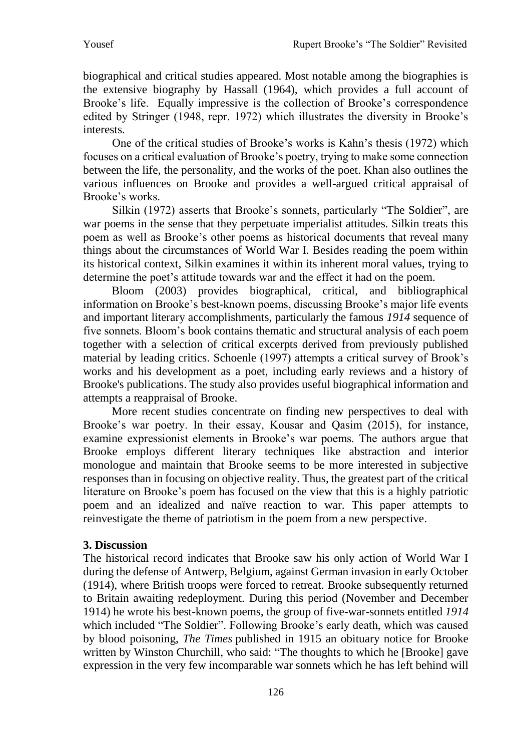biographical and critical studies appeared. Most notable among the biographies is the extensive biography by Hassall (1964), which provides a full account of Brooke's life. Equally impressive is the collection of Brooke's correspondence edited by Stringer (1948, repr. 1972) which illustrates the diversity in Brooke's interests.

One of the critical studies of Brooke's works is Kahn's thesis (1972) which focuses on a critical evaluation of Brooke's poetry, trying to make some connection between the life, the personality, and the works of the poet. Khan also outlines the various influences on Brooke and provides a well-argued critical appraisal of Brooke's works.

Silkin (1972) asserts that Brooke's sonnets, particularly "The Soldier", are war poems in the sense that they perpetuate imperialist attitudes. Silkin treats this poem as well as Brooke's other poems as historical documents that reveal many things about the circumstances of World War I. Besides reading the poem within its historical context, Silkin examines it within its inherent moral values, trying to determine the poet's attitude towards war and the effect it had on the poem.

Bloom (2003) provides biographical, critical, and bibliographical information on Brooke's best-known poems, discussing Brooke's major life events and important literary accomplishments, particularly the famous *1914* sequence of five sonnets. Bloom's book contains thematic and structural analysis of each poem together with a selection of critical excerpts derived from previously published material by leading critics. Schoenle (1997) attempts a critical survey of Brook's works and his development as a poet, including early reviews and a history of Brooke's publications. The study also provides useful biographical information and attempts a reappraisal of Brooke.

More recent studies concentrate on finding new perspectives to deal with Brooke's war poetry. In their essay, Kousar and Qasim (2015), for instance, examine expressionist elements in Brooke's war poems. The authors argue that Brooke employs different literary techniques like abstraction and interior monologue and maintain that Brooke seems to be more interested in subjective responses than in focusing on objective reality. Thus, the greatest part of the critical literature on Brooke's poem has focused on the view that this is a highly patriotic poem and an idealized and naïve reaction to war. This paper attempts to reinvestigate the theme of patriotism in the poem from a new perspective.

## **3. Discussion**

The historical record indicates that Brooke saw his only action of World War I during the defense of Antwerp, Belgium, against German invasion in early October (1914), where British troops were forced to retreat. Brooke subsequently returned to Britain awaiting redeployment. During this period (November and December 1914) he wrote his best-known poems, the group of five-war-sonnets entitled *1914* which included "The Soldier". Following Brooke's early death, which was caused by blood poisoning, *The Times* published in 1915 an obituary notice for Brooke written by Winston Churchill, who said: "The thoughts to which he [Brooke] gave expression in the very few incomparable war sonnets which he has left behind will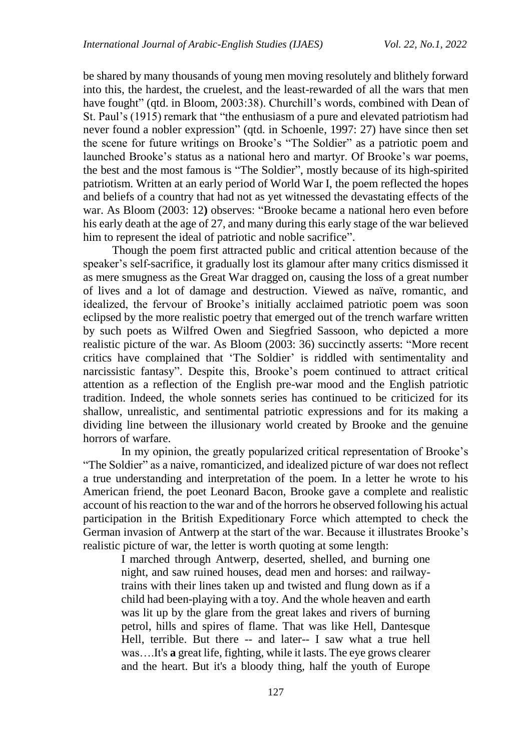be shared by many thousands of young men moving resolutely and blithely forward into this, the hardest, the cruelest, and the least-rewarded of all the wars that men have fought" (qtd. in Bloom, 2003:38). Churchill's words, combined with Dean of St. Paul's (1915) remark that "the enthusiasm of a pure and elevated patriotism had never found a nobler expression" (qtd. in Schoenle, 1997: 27) have since then set the scene for future writings on Brooke's "The Soldier" as a patriotic poem and launched Brooke's status as a national hero and martyr. Of Brooke's war poems, the best and the most famous is "The Soldier", mostly because of its high-spirited patriotism. Written at an early period of World War I, the poem reflected the hopes and beliefs of a country that had not as yet witnessed the devastating effects of the war. As Bloom (2003: 12**)** observes: "Brooke became a national hero even before his early death at the age of 27, and many during this early stage of the war believed him to represent the ideal of patriotic and noble sacrifice".

Though the poem first attracted public and critical attention because of the speaker's self-sacrifice, it gradually lost its glamour after many critics dismissed it as mere smugness as the Great War dragged on, causing the loss of a great number of lives and a lot of damage and destruction. Viewed as naïve, romantic, and idealized, the fervour of Brooke's initially acclaimed patriotic poem was soon eclipsed by the more realistic poetry that emerged out of the trench warfare written by such poets as Wilfred Owen and Siegfried Sassoon, who depicted a more realistic picture of the war. As Bloom (2003: 36) succinctly asserts: "More recent critics have complained that 'The Soldier' is riddled with sentimentality and narcissistic fantasy". Despite this, Brooke's poem continued to attract critical attention as a reflection of the English pre-war mood and the English patriotic tradition. Indeed, the whole sonnets series has continued to be criticized for its shallow, unrealistic, and sentimental patriotic expressions and for its making a dividing line between the illusionary world created by Brooke and the genuine horrors of warfare.

In my opinion, the greatly popularized critical representation of Brooke's "The Soldier" as a naive, romanticized, and idealized picture of war does not reflect a true understanding and interpretation of the poem. In a letter he wrote to his American friend, the poet Leonard Bacon, Brooke gave a complete and realistic account of his reaction to the war and of the horrors he observed following his actual participation in the British Expeditionary Force which attempted to check the German invasion of Antwerp at the start of the war. Because it illustrates Brooke's realistic picture of war, the letter is worth quoting at some length:

I marched through Antwerp, deserted, shelled, and burning one night, and saw ruined houses, dead men and horses: and railwaytrains with their lines taken up and twisted and flung down as if a child had been-playing with a toy. And the whole heaven and earth was lit up by the glare from the great lakes and rivers of burning petrol, hills and spires of flame. That was like Hell, Dantesque Hell, terrible. But there -- and later-- I saw what a true hell was….It's **a** great life, fighting, while it lasts. The eye grows clearer and the heart. But it's a bloody thing, half the youth of Europe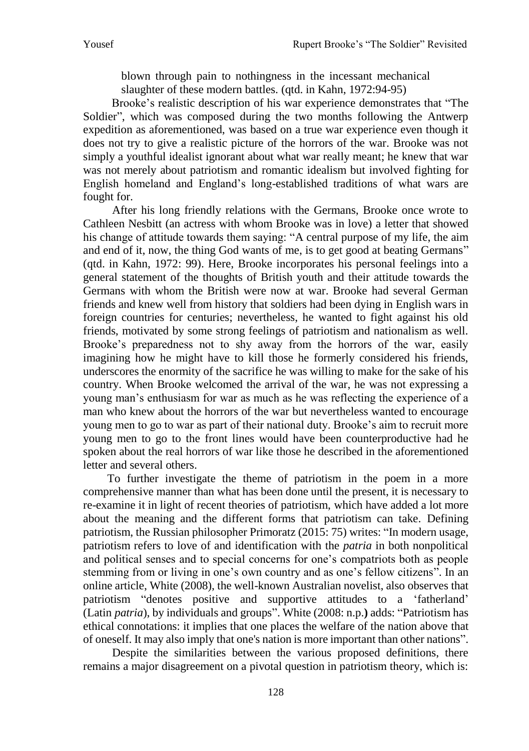blown through pain to nothingness in the incessant mechanical

slaughter of these modern battles. (qtd. in Kahn, 1972:94-95)

Brooke's realistic description of his war experience demonstrates that "The Soldier", which was composed during the two months following the Antwerp expedition as aforementioned, was based on a true war experience even though it does not try to give a realistic picture of the horrors of the war. Brooke was not simply a youthful idealist ignorant about what war really meant; he knew that war was not merely about patriotism and romantic idealism but involved fighting for English homeland and England's long-established traditions of what wars are fought for.

After his long friendly relations with the Germans, Brooke once wrote to Cathleen Nesbitt (an actress with whom Brooke was in love) a letter that showed his change of attitude towards them saying: "A central purpose of my life, the aim and end of it, now, the thing God wants of me, is to get good at beating Germans" (qtd. in Kahn, 1972: 99). Here, Brooke incorporates his personal feelings into a general statement of the thoughts of British youth and their attitude towards the Germans with whom the British were now at war. Brooke had several German friends and knew well from history that soldiers had been dying in English wars in foreign countries for centuries; nevertheless, he wanted to fight against his old friends, motivated by some strong feelings of patriotism and nationalism as well. Brooke's preparedness not to shy away from the horrors of the war, easily imagining how he might have to kill those he formerly considered his friends, underscores the enormity of the sacrifice he was willing to make for the sake of his country. When Brooke welcomed the arrival of the war, he was not expressing a young man's enthusiasm for war as much as he was reflecting the experience of a man who knew about the horrors of the war but nevertheless wanted to encourage young men to go to war as part of their national duty. Brooke's aim to recruit more young men to go to the front lines would have been counterproductive had he spoken about the real horrors of war like those he described in the aforementioned letter and several others.

To further investigate the theme of patriotism in the poem in a more comprehensive manner than what has been done until the present, it is necessary to re-examine it in light of recent theories of patriotism, which have added a lot more about the meaning and the different forms that patriotism can take. Defining patriotism, the Russian philosopher Primoratz (2015: 75) writes: "In modern usage, patriotism refers to love of and identification with the *patria* in both nonpolitical and political senses and to special concerns for one's compatriots both as people stemming from or living in one's own country and as one's fellow citizens". In an online article, White (2008), the well-known Australian novelist, also observes that patriotism "denotes positive and supportive attitudes to a 'fatherland' (Latin *patria*), by individuals and groups". White (2008: n.p.**)** adds: "Patriotism has ethical connotations: it implies that one places the welfare of the nation above that of oneself. It may also imply that one's nation is more important than other nations".

Despite the similarities between the various proposed definitions, there remains a major disagreement on a pivotal question in patriotism theory, which is: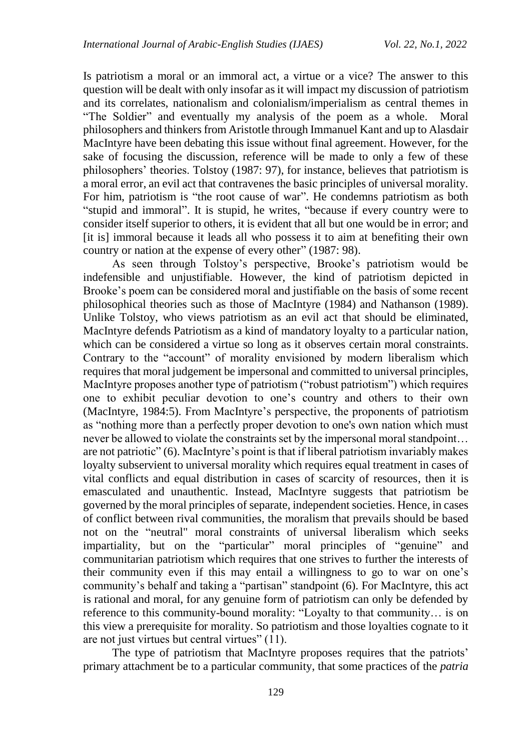Is patriotism a moral or an immoral act, a virtue or a vice? The answer to this question will be dealt with only insofar as it will impact my discussion of patriotism and its correlates, nationalism and colonialism/imperialism as central themes in "The Soldier" and eventually my analysis of the poem as a whole. Moral philosophers and thinkers from Aristotle through Immanuel Kant and up to Alasdair MacIntyre have been debating this issue without final agreement. However, for the sake of focusing the discussion, reference will be made to only a few of these philosophers' theories. Tolstoy (1987: 97), for instance, believes that patriotism is a moral error, an evil act that contravenes the basic principles of universal morality. For him, patriotism is "the root cause of war". He condemns patriotism as both "stupid and immoral". It is stupid, he writes, "because if every country were to consider itself superior to others, it is evident that all but one would be in error; and [it is] immoral because it leads all who possess it to aim at benefiting their own country or nation at the expense of every other" (1987: 98).

As seen through Tolstoy's perspective, Brooke's patriotism would be indefensible and unjustifiable. However, the kind of patriotism depicted in Brooke's poem can be considered moral and justifiable on the basis of some recent philosophical theories such as those of MacIntyre (1984) and Nathanson (1989). Unlike Tolstoy, who views patriotism as an evil act that should be eliminated, MacIntyre defends Patriotism as a kind of mandatory loyalty to a particular nation, which can be considered a virtue so long as it observes certain moral constraints. Contrary to the "account" of morality envisioned by modern liberalism which requires that moral judgement be impersonal and committed to universal principles, MacIntyre proposes another type of patriotism ("robust patriotism") which requires one to exhibit peculiar devotion to one's country and others to their own (MacIntyre, 1984:5). From MacIntyre's perspective, the proponents of patriotism as "nothing more than a perfectly proper devotion to one's own nation which must never be allowed to violate the constraints set by the impersonal moral standpoint… are not patriotic" (6). MacIntyre's point is that if liberal patriotism invariably makes loyalty subservient to universal morality which requires equal treatment in cases of vital conflicts and equal distribution in cases of scarcity of resources, then it is emasculated and unauthentic. Instead, MacIntyre suggests that patriotism be governed by the moral principles of separate, independent societies. Hence, in cases of conflict between rival communities, the moralism that prevails should be based not on the "neutral" moral constraints of universal liberalism which seeks impartiality, but on the "particular" moral principles of "genuine" and communitarian patriotism which requires that one strives to further the interests of their community even if this may entail a willingness to go to war on one's community's behalf and taking a "partisan" standpoint (6). For MacIntyre, this act is rational and moral, for any genuine form of patriotism can only be defended by reference to this community-bound morality: "Loyalty to that community… is on this view a prerequisite for morality. So patriotism and those loyalties cognate to it are not just virtues but central virtues" (11).

The type of patriotism that MacIntyre proposes requires that the patriots' primary attachment be to a particular community, that some practices of the *patria*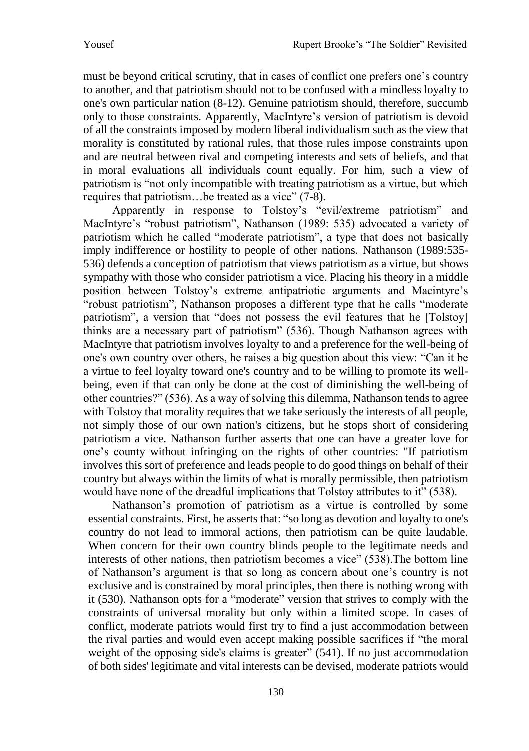must be beyond critical scrutiny, that in cases of conflict one prefers one's country to another, and that patriotism should not to be confused with a mindless loyalty to one's own particular nation (8-12). Genuine patriotism should, therefore, succumb only to those constraints. Apparently, MacIntyre's version of patriotism is devoid of all the constraints imposed by modern liberal individualism such as the view that morality is constituted by rational rules, that those rules impose constraints upon and are neutral between rival and competing interests and sets of beliefs, and that in moral evaluations all individuals count equally. For him, such a view of patriotism is "not only incompatible with treating patriotism as a virtue, but which requires that patriotism…be treated as a vice" (7-8).

Apparently in response to Tolstoy's "evil/extreme patriotism" and MacIntyre's "robust patriotism", Nathanson (1989: 535) advocated a variety of patriotism which he called "moderate patriotism", a type that does not basically imply indifference or hostility to people of other nations. Nathanson (1989:535- 536) defends a conception of patriotism that views patriotism as a virtue, but shows sympathy with those who consider patriotism a vice. Placing his theory in a middle position between Tolstoy's extreme antipatriotic arguments and Macintyre's "robust patriotism", Nathanson proposes a different type that he calls "moderate patriotism", a version that "does not possess the evil features that he [Tolstoy] thinks are a necessary part of patriotism" (536). Though Nathanson agrees with MacIntyre that patriotism involves loyalty to and a preference for the well-being of one's own country over others, he raises a big question about this view: "Can it be a virtue to feel loyalty toward one's country and to be willing to promote its wellbeing, even if that can only be done at the cost of diminishing the well-being of other countries?" (536). As a way of solving this dilemma, Nathanson tends to agree with Tolstoy that morality requires that we take seriously the interests of all people, not simply those of our own nation's citizens, but he stops short of considering patriotism a vice. Nathanson further asserts that one can have a greater love for one's county without infringing on the rights of other countries: "If patriotism involves this sort of preference and leads people to do good things on behalf of their country but always within the limits of what is morally permissible, then patriotism would have none of the dreadful implications that Tolstoy attributes to it" (538).

Nathanson's promotion of patriotism as a virtue is controlled by some essential constraints. First, he asserts that: "so long as devotion and loyalty to one's country do not lead to immoral actions, then patriotism can be quite laudable. When concern for their own country blinds people to the legitimate needs and interests of other nations, then patriotism becomes a vice" (538).The bottom line of Nathanson's argument is that so long as concern about one's country is not exclusive and is constrained by moral principles, then there is nothing wrong with it (530). Nathanson opts for a "moderate" version that strives to comply with the constraints of universal morality but only within a limited scope. In cases of conflict, moderate patriots would first try to find a just accommodation between the rival parties and would even accept making possible sacrifices if "the moral weight of the opposing side's claims is greater" (541). If no just accommodation of both sides' legitimate and vital interests can be devised, moderate patriots would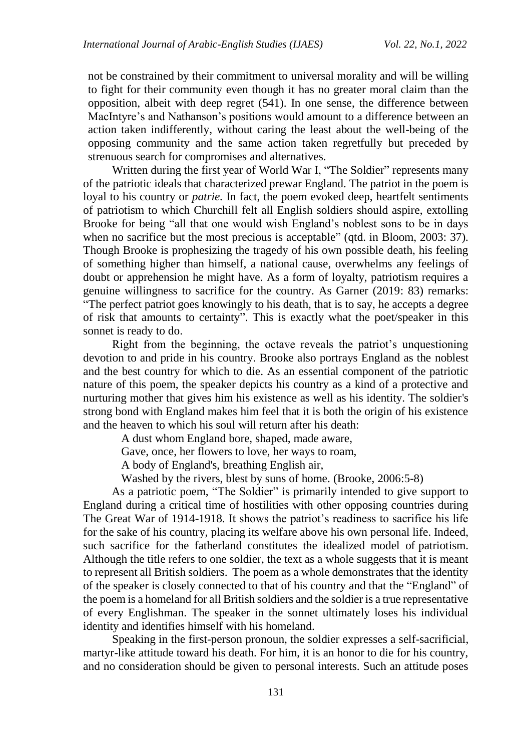not be constrained by their commitment to universal morality and will be willing to fight for their community even though it has no greater moral claim than the opposition, albeit with deep regret (541). In one sense, the difference between MacIntyre's and Nathanson's positions would amount to a difference between an action taken indifferently, without caring the least about the well-being of the opposing community and the same action taken regretfully but preceded by strenuous search for compromises and alternatives.

Written during the first year of [World War I,](https://www.encyclopedia.com/history/modern-europe/wars-and-battles/world-war-i) "The Soldier" represents many of the patriotic ideals that characterized prewar England. The patriot in the poem is loyal to his country or *patrie*. In fact, the poem evoked deep, heartfelt sentiments of patriotism to which Churchill felt all English soldiers should aspire, extolling Brooke for being "all that one would wish England's noblest sons to be in days when no sacrifice but the most precious is acceptable" (qtd. in Bloom, 2003: 37). Though Brooke is prophesizing the tragedy of his own possible death, his feeling of something higher than himself, a national cause, overwhelms any feelings of doubt or apprehension he might have. As a form of loyalty, patriotism requires a genuine willingness to sacrifice for the country. As Garner (2019: 83) remarks: "The perfect patriot goes knowingly to his death, that is to say, he accepts a degree of risk that amounts to certainty". This is exactly what the poet/speaker in this sonnet is ready to do.

Right from the beginning, the octave reveals the patriot's unquestioning devotion to and pride in his country. Brooke also portrays England as the noblest and the best country for which to die. As an essential component of the patriotic nature of this poem, the speaker depicts his country as a kind of a protective and nurturing mother that gives him his existence as well as his identity. The soldier's strong bond with England makes him feel that it is both the origin of his existence and the heaven to which his soul will return after his death:

A dust whom England bore, shaped, made aware,

Gave, once, her flowers to love, her ways to roam,

A body of England's, breathing English air,

Washed by the rivers, blest by suns of home. (Brooke, 2006:5-8)

As a patriotic poem, "The Soldier" is primarily intended to give support to England during a critical time of hostilities with other opposing countries during The Great War of 1914-1918. It shows the patriot's readiness to sacrifice his life for the sake of his country, placing its welfare above his own personal life. Indeed, such sacrifice for the fatherland constitutes the idealized model of patriotism. Although the title refers to one soldier, the text as a whole suggests that it is meant to represent all British soldiers. The poem as a whole demonstrates that the identity of the speaker is closely connected to that of his country and that the "England" of the poem is a homeland for all British soldiers and the soldier is a true representative of every Englishman. The speaker in the sonnet ultimately loses his individual identity and identifies himself with his homeland.

Speaking in the first-person pronoun, the soldier expresses a self-sacrificial, martyr-like attitude toward his death. For him, it is an honor to die for his country, and no consideration should be given to personal interests. Such an attitude poses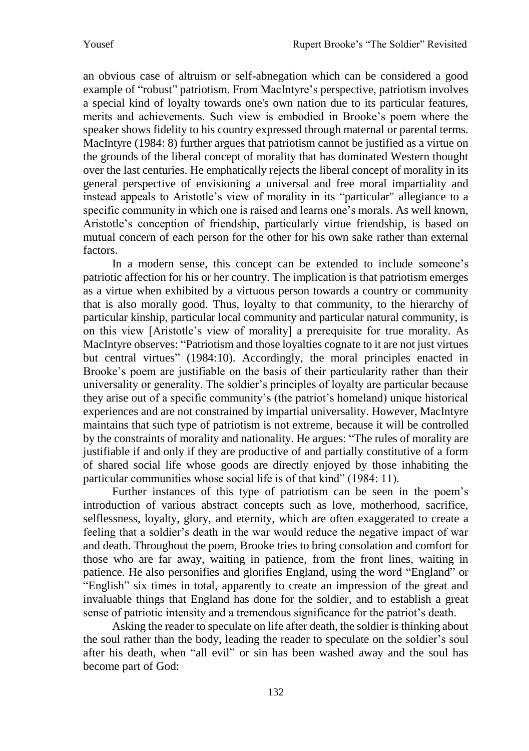an obvious case of altruism or self-abnegation which can be considered a good example of "robust" patriotism. From MacIntyre's perspective, patriotism involves a special kind of loyalty towards one's own nation due to its particular features, merits and achievements. Such view is embodied in Brooke's poem where the speaker shows fidelity to his country expressed through maternal or parental terms. MacIntyre (1984: 8) further argues that patriotism cannot be justified as a virtue on the grounds of the liberal concept of morality that has dominated Western thought over the last centuries. He emphatically rejects the liberal concept of morality in its general perspective of envisioning a universal and free moral impartiality and instead appeals to Aristotle's view of morality in its "particular" allegiance to a specific community in which one is raised and learns one's morals. As well known, Aristotle's conception of friendship, particularly virtue friendship, is based on mutual concern of each person for the other for his own sake rather than external factors.

In a modern sense, this concept can be extended to include someone's patriotic affection for his or her country. The implication is that patriotism emerges as a virtue when exhibited by a virtuous person towards a country or community that is also morally good. Thus, loyalty to that community, to the hierarchy of particular kinship, particular local community and particular natural community, is on this view [Aristotle's view of morality] a prerequisite for true morality. As MacIntyre observes: "Patriotism and those loyalties cognate to it are not just virtues but central virtues" (1984:10). Accordingly, the moral principles enacted in Brooke's poem are justifiable on the basis of their particularity rather than their universality or generality. The soldier's principles of loyalty are particular because they arise out of a specific community's (the patriot's homeland) unique historical experiences and are not constrained by impartial universality. However, MacIntyre maintains that such type of patriotism is not extreme, because it will be controlled by the constraints of morality and nationality. He argues: "The rules of morality are justifiable if and only if they are productive of and partially constitutive of a form of shared social life whose goods are directly enjoyed by those inhabiting the particular communities whose social life is of that kind" (1984: 11).

Further instances of this type of patriotism can be seen in the poem's introduction of various abstract concepts such as love, motherhood, sacrifice, selflessness, loyalty, glory, and eternity, which are often exaggerated to create a feeling that a soldier's death in the war would reduce the negative impact of war and death. Throughout the poem, Brooke tries to bring consolation and comfort for those who are far away, waiting in patience, from the front lines, waiting in patience. He also personifies and glorifies England, using the word "England" or "English" six times in total, apparently to create an impression of the great and invaluable things that England has done for the soldier, and to establish a great sense of patriotic intensity and a tremendous significance for the patriot's death.

Asking the reader to speculate on life after death, the soldier is thinking about the soul rather than the body, leading the reader to speculate on the soldier's soul after his death, when "all evil" or sin has been washed away and the soul has become part of God: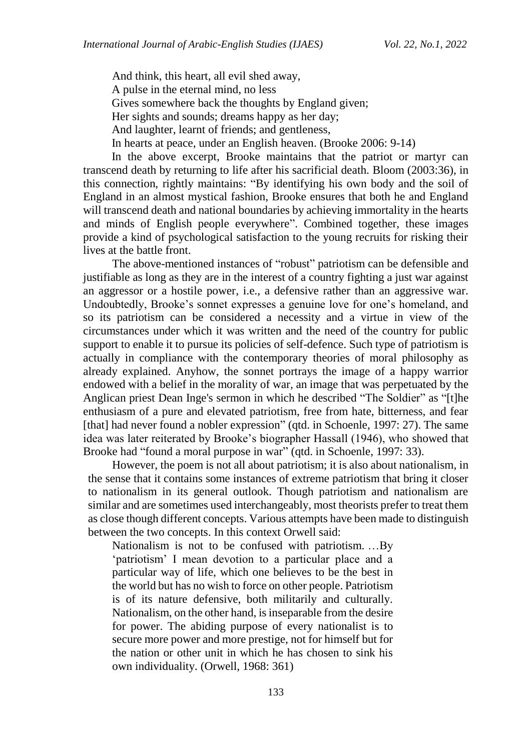And think, this heart, all evil shed away, A pulse in the eternal mind, no less Gives somewhere back the thoughts by England given; Her sights and sounds; dreams happy as her day; And laughter, learnt of friends; and gentleness, In hearts at peace, under an English heaven. (Brooke 2006: 9-14)

In the above excerpt, Brooke maintains that the patriot or martyr can transcend death by returning to life after his sacrificial death. Bloom (2003:36), in this connection, rightly maintains: "By identifying his own body and the soil of England in an almost mystical fashion, Brooke ensures that both he and England will transcend death and national boundaries by achieving immortality in the hearts and minds of English people everywhere". Combined together, these images provide a kind of psychological satisfaction to the young recruits for risking their lives at the battle front.

The above-mentioned instances of "robust" patriotism can be defensible and justifiable as long as they are in the interest of a country fighting a just war against an aggressor or a hostile power, i.e., a defensive rather than an aggressive war. Undoubtedly, Brooke's sonnet expresses a genuine love for one's homeland, and so its patriotism can be considered a necessity and a virtue in view of the circumstances under which it was written and the need of the country for public support to enable it to pursue its policies of self-defence. Such type of patriotism is actually in compliance with the contemporary theories of moral philosophy as already explained. Anyhow, the sonnet portrays the image of a happy warrior endowed with a belief in the morality of war, an image that was perpetuated by the Anglican priest Dean Inge's sermon in which he described "The Soldier" as "[t]he enthusiasm of a pure and elevated patriotism, free from hate, bitterness, and fear [that] had never found a nobler expression" (qtd. in Schoenle, 1997: 27). The same idea was later reiterated by Brooke's biographer Hassall (1946), who showed that Brooke had "found a moral purpose in war" (qtd. in Schoenle, 1997: 33).

However, the poem is not all about patriotism; it is also about nationalism, in the sense that it contains some instances of extreme patriotism that bring it closer to nationalism in its general outlook. Though patriotism and nationalism are similar and are sometimes used interchangeably, most theorists prefer to treat them as close though different concepts. Various attempts have been made to distinguish between the two concepts. In this context Orwell said:

Nationalism is not to be confused with patriotism. …By 'patriotism' I mean devotion to a particular place and a particular way of life, which one believes to be the best in the world but has no wish to force on other people. Patriotism is of its nature defensive, both militarily and culturally. Nationalism, on the other hand, is inseparable from the desire for power. The abiding purpose of every nationalist is to secure more power and more prestige, not for himself but for the nation or other unit in which he has chosen to sink his own individuality. (Orwell, 1968: 361)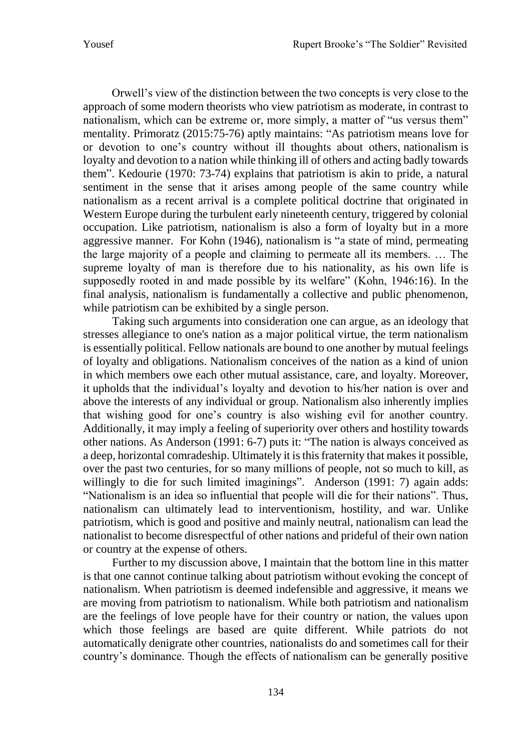Orwell's view of the distinction between the two concepts is very close to the approach of some modern theorists who view patriotism as moderate, in contrast to nationalism, which can be extreme or, more simply, a matter of "us versus them" mentality. Primoratz (2015:75-76) aptly maintains: "As patriotism means love for or devotion to one's country without ill thoughts about others, nationalism is loyalty and devotion to a nation while thinking ill of others and acting badly towards them". Kedourie (1970: 73-74) explains that patriotism is akin to pride, a natural sentiment in the sense that it arises among people of the same country while nationalism as a recent arrival is a complete political doctrine that originated in Western Europe during the turbulent early nineteenth century, triggered by colonial occupation. Like patriotism, nationalism is also a form of loyalty but in a more aggressive manner. For Kohn (1946), nationalism is "a state of mind, permeating the large majority of a people and claiming to permeate all its members. … The supreme loyalty of man is therefore due to his nationality, as his own life is supposedly rooted in and made possible by its welfare" (Kohn, 1946:16). In the final analysis, nationalism is fundamentally a collective and public phenomenon, while patriotism can be exhibited by a single person.

Taking such arguments into consideration one can argue, as an ideology that stresses allegiance to one's nation as a major political virtue, the term nationalism is essentially political. Fellow nationals are bound to one another by mutual feelings of loyalty and obligations. Nationalism conceives of the nation as a kind of union in which members owe each other mutual assistance, care, and loyalty. Moreover, it upholds that the individual's loyalty and devotion to his/her [nation](https://www.britannica.com/topic/nation-state) is over and above the interests of any individual or group. Nationalism also inherently implies that wishing good for one's country is also wishing evil for another country. Additionally, it may imply a feeling of superiority over others and hostility towards other nations. As Anderson (1991: 6-7) puts it: "The nation is always conceived as a deep, horizontal comradeship. Ultimately it is this fraternity that makes it possible, over the past two centuries, for so many millions of people, not so much to kill, as willingly to die for such limited imaginings". Anderson (1991: 7) again adds: "Nationalism is an idea so influential that people will die for their nations". Thus, nationalism can ultimately lead to interventionism, hostility, and war. Unlike patriotism, which is good and positive and mainly neutral, nationalism can lead the nationalist to become disrespectful of other nations and prideful of their own nation or country at the expense of others.

Further to my discussion above, I maintain that the bottom line in this matter is that one cannot continue talking about patriotism without evoking the concept of nationalism. When patriotism is deemed indefensible and aggressive, it means we are moving from patriotism to nationalism. While both patriotism and nationalism are the feelings of love people have for their country or nation, the values upon which those feelings are based are quite different. While patriots do not automatically denigrate other countries, nationalists do and sometimes call for their country's dominance. Though the effects of nationalism can be generally positive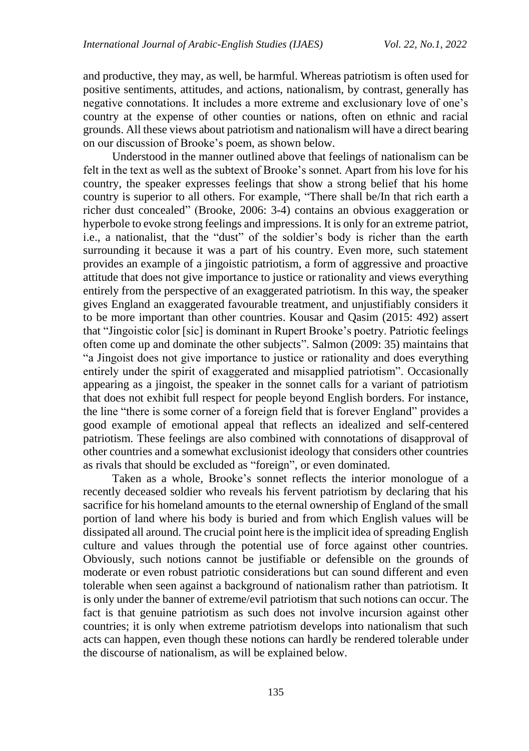and productive, they may, as well, be harmful. Whereas patriotism is often used for positive sentiments, attitudes, and actions, nationalism, by contrast, generally has negative connotations. It includes a more extreme and exclusionary love of one's country at the expense of other counties or nations, often on ethnic and racial grounds. All these views about patriotism and nationalism will have a direct bearing on our discussion of Brooke's poem, as shown below.

Understood in the manner outlined above that feelings of nationalism can be felt in the text as well as the subtext of Brooke's sonnet. Apart from his love for his country, the speaker expresses feelings that show a strong belief that his home country is superior to all others. For example, "There shall be/In that rich earth a richer dust concealed" (Brooke, 2006: 3-4) contains an obvious exaggeration or hyperbole to evoke strong feelings and impressions. It is only for an extreme patriot, i.e., a nationalist, that the "dust" of the soldier's body is richer than the earth surrounding it because it was a part of his country. Even more, such statement provides an example of a jingoistic patriotism, a form of aggressive and proactive attitude that does not give importance to justice or rationality and views everything entirely from the perspective of an exaggerated patriotism. In this way, the speaker gives England an exaggerated favourable treatment, and unjustifiably considers it to be more important than other countries. Kousar and Qasim (2015: 492) assert that "Jingoistic color [sic] is dominant in Rupert Brooke's poetry. Patriotic feelings often come up and dominate the other subjects". Salmon (2009: 35) maintains that "a Jingoist does not give importance to justice or rationality and does everything entirely under the spirit of exaggerated and misapplied patriotism". Occasionally appearing as a jingoist, the speaker in the sonnet calls for a variant of patriotism that does not exhibit full respect for people beyond English borders. For instance, the line "there is some corner of a foreign field that is forever England" provides a good example of emotional appeal that reflects an idealized and self-centered patriotism. These feelings are also combined with connotations of disapproval of other countries and a somewhat exclusionist ideology that considers other countries as rivals that should be excluded as "foreign", or even dominated.

Taken as a whole, Brooke's sonnet reflects the interior monologue of a recently deceased soldier who reveals his fervent patriotism by declaring that his sacrifice for his homeland amounts to the eternal ownership of England of the small portion of land where his body is buried and from which English values will be dissipated all around. The crucial point here is the implicit idea of spreading English culture and values through the potential use of force against other countries. Obviously, such notions cannot be justifiable or defensible on the grounds of moderate or even robust patriotic considerations but can sound different and even tolerable when seen against a background of nationalism rather than patriotism. It is only under the banner of extreme/evil patriotism that such notions can occur. The fact is that genuine patriotism as such does not involve incursion against other countries; it is only when extreme patriotism develops into nationalism that such acts can happen, even though these notions can hardly be rendered tolerable under the discourse of nationalism, as will be explained below.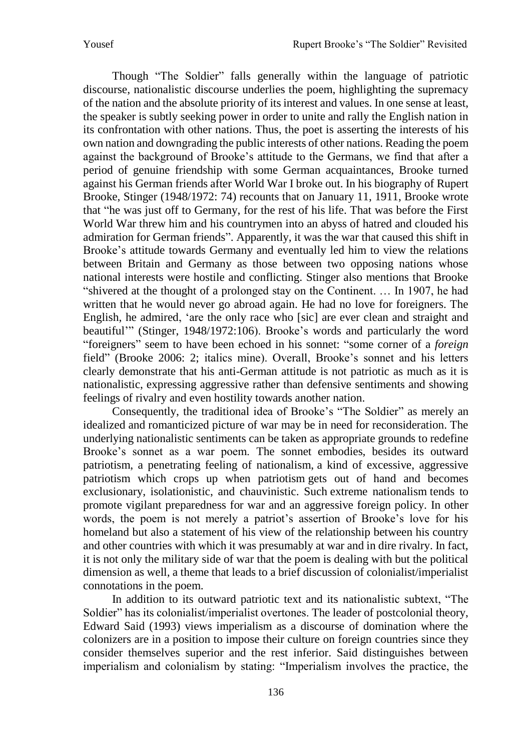Though "The Soldier" falls generally within the language of patriotic discourse, nationalistic discourse underlies the poem, highlighting the supremacy of the nation and the absolute priority of its interest and values. In one sense at least, the speaker is subtly seeking power in order to unite and rally the English nation in its confrontation with other nations. Thus, the poet is asserting the interests of his own nation and downgrading the public interests of other nations. Reading the poem against the background of Brooke's attitude to the Germans, we find that after a period of genuine friendship with some German acquaintances, Brooke turned against his German friends after World War I broke out. In his biography of Rupert Brooke, Stinger (1948/1972: 74) recounts that on January 11, 1911, Brooke wrote that "he was just off to Germany, for the rest of his life. That was before the First World War threw him and his countrymen into an abyss of hatred and clouded his admiration for German friends". Apparently, it was the war that caused this shift in Brooke's attitude towards Germany and eventually led him to view the relations between Britain and Germany as those between two opposing nations whose national interests were hostile and conflicting. Stinger also mentions that Brooke "shivered at the thought of a prolonged stay on the Continent. … In 1907, he had written that he would never go abroad again. He had no love for foreigners. The English, he admired, 'are the only race who [sic] are ever clean and straight and beautiful'" (Stinger, 1948/1972:106). Brooke's words and particularly the word "foreigners" seem to have been echoed in his sonnet: "some corner of a *foreign* field" (Brooke 2006: 2; italics mine). Overall, Brooke's sonnet and his letters clearly demonstrate that his anti-German attitude is not patriotic as much as it is nationalistic, expressing aggressive rather than defensive sentiments and showing feelings of rivalry and even hostility towards another nation.

Consequently, the traditional idea of Brooke's "The Soldier" as merely an idealized and romanticized picture of war may be in need for reconsideration. The underlying nationalistic sentiments can be taken as appropriate grounds to redefine Brooke's sonnet as a war poem. The sonnet embodies, besides its outward patriotism, a penetrating feeling of nationalism, a kind of excessive, aggressive patriotism which crops up when patriotism gets out of hand and becomes exclusionary, isolationistic, and [chauvinisti](https://www.dictionary.com/browse/chauvinist)c. Such extreme nationalism tends to promote vigilant preparedness for war and an aggressive foreign policy. In other words, the poem is not merely a patriot's assertion of Brooke's love for his homeland but also a statement of his view of the relationship between his country and other countries with which it was presumably at war and in dire rivalry. In fact, it is not only the military side of war that the poem is dealing with but the political dimension as well, a theme that leads to a brief discussion of colonialist/imperialist connotations in the poem.

In addition to its outward patriotic text and its nationalistic subtext, "The Soldier" has its colonialist/imperialist overtones. The leader of postcolonial theory, Edward Said (1993) views imperialism as a discourse of domination where the colonizers are in a position to impose their culture on foreign countries since they consider themselves superior and the rest inferior. Said distinguishes between imperialism and colonialism by stating: "Imperialism involves the practice, the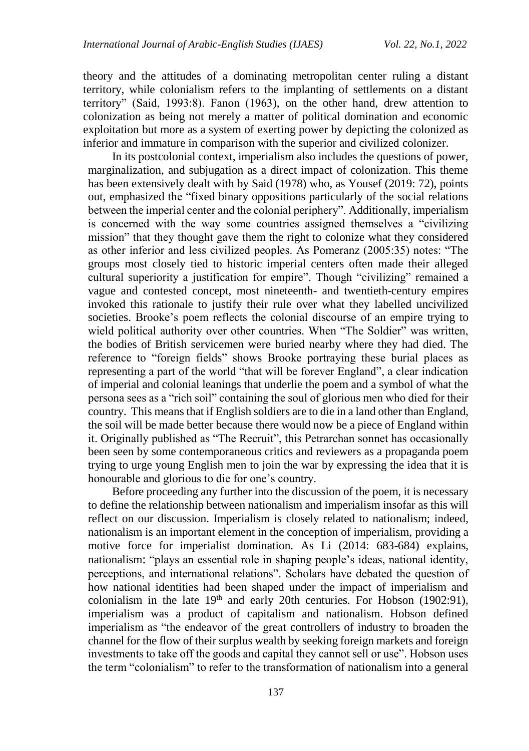theory and the attitudes of a dominating metropolitan center ruling a distant territory, while colonialism refers to the implanting of settlements on a distant territory" (Said, 1993:8). Fanon (1963), on the other hand, drew attention to colonization as being not merely a matter of political domination and economic exploitation but more as a system of exerting power by depicting the colonized as inferior and immature in comparison with the superior and civilized colonizer.

In its postcolonial context, imperialism also includes the questions of power, marginalization, and subjugation as a direct impact of colonization. This theme has been extensively dealt with by Said (1978) who, as Yousef (2019: 72), points out, emphasized the "fixed binary oppositions particularly of the social relations between the imperial center and the colonial periphery". Additionally, imperialism is concerned with the way some countries assigned themselves a "civilizing mission" that they thought gave them the right to colonize what they considered as other inferior and less civilized peoples. As Pomeranz (2005:35) notes: "The groups most closely tied to historic imperial centers often made their alleged cultural superiority a justification for empire". Though "civilizing" remained a vague and contested concept, most nineteenth- and twentieth-century empires invoked this rationale to justify their rule over what they labelled uncivilized societies. Brooke's poem reflects the colonial discourse of an empire trying to wield political authority over other countries. When "The Soldier" was written, the bodies of British servicemen were buried nearby where they had died. The reference to "foreign fields" shows Brooke portraying these burial places as representing a part of the world "that will be forever England", a clear indication of imperial and colonial leanings that underlie the poem and a symbol of what the persona sees as a "rich soil" containing the soul of glorious men who died for their country. This means that if English soldiers are to die in a land other than England, the soil will be made better because there would now be a piece of England within it. Originally published as "The Recruit", this Petrarchan sonnet has occasionally been seen by some contemporaneous critics and reviewers as a propaganda poem trying to urge young English men to join the war by expressing the idea that it is honourable and glorious to die for one's country.

Before proceeding any further into the discussion of the poem, it is necessary to define the relationship between nationalism and imperialism insofar as this will reflect on our discussion. Imperialism is closely related to nationalism; indeed, nationalism is an important element in the conception of imperialism, providing a motive force for imperialist domination. As Li (2014: 683-684) explains, nationalism: "plays an essential role in shaping people's ideas, national identity, perceptions, and international relations". Scholars have debated the question of how national identities had been shaped under the impact of imperialism and colonialism in the late  $19<sup>th</sup>$  and early 20th centuries. For Hobson (1902:91), imperialism was a product of capitalism and nationalism. Hobson defined imperialism as "the endeavor of the great controllers of industry to broaden the channel for the flow of their surplus wealth by seeking foreign markets and foreign investments to take off the goods and capital they cannot sell or use". Hobson uses the term "colonialism" to refer to the transformation of nationalism into a general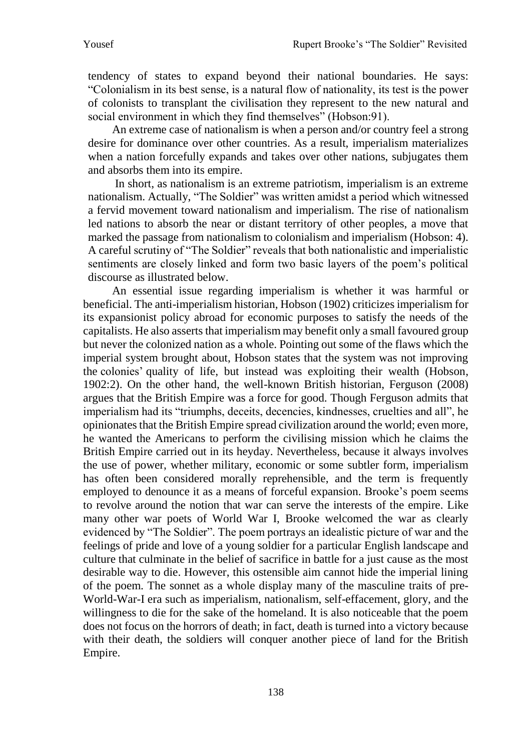tendency of states to expand beyond their national boundaries. He says: "Colonialism in its best sense, is a natural flow of nationality, its test is the power of colonists to transplant the civilisation they represent to the new natural and social environment in which they find themselves" (Hobson: 91).

An extreme case of nationalism is when a person and/or country feel a strong desire for dominance over other countries. As a result, imperialism materializes when a nation forcefully expands and takes over other nations, subjugates them and absorbs them into its empire.

In short, as nationalism is an extreme patriotism, imperialism is an extreme nationalism. Actually, "The Soldier" was written amidst a period which witnessed a fervid movement toward nationalism and imperialism. The rise of nationalism led nations to absorb the near or distant territory of other peoples, a move that marked the passage from nationalism to colonialism and imperialism (Hobson: 4). A careful scrutiny of "The Soldier" reveals that both nationalistic and imperialistic sentiments are closely linked and form two basic layers of the poem's political discourse as illustrated below.

An essential issue regarding imperialism is whether it was harmful or beneficial. The anti-imperialism historian, Hobson (1902) criticizes imperialism for its expansionist policy abroad for economic purposes to satisfy the needs of the capitalists. He also asserts that imperialism may benefit only a small favoured group but never the colonized nation as a whole. Pointing out some of the flaws which the imperial system brought about, Hobson states that the system was not improving the colonies' quality of life, but instead was exploiting their wealth (Hobson, 1902:2). On the other hand, the well-known British historian, Ferguson (2008) argues that the British Empire was a force for good. Though Ferguson admits that imperialism had its "triumphs, deceits, decencies, kindnesses, cruelties and all", he opinionates that the British Empire spread civilization around the world; even more, he wanted the Americans to perform the civilising mission which he claims the British Empire carried out in its heyday. Nevertheless, because it always involves the use of power, whether military, economic or some subtler form, imperialism has often been considered morally reprehensible, and the term is frequently employed to denounce it as a means of forceful expansion. Brooke's poem seems to revolve around the notion that war can serve the interests of the empire. Like many other war poets of World War I, Brooke welcomed the war as clearly evidenced by "The Soldier". The poem portrays an idealistic picture of war and the feelings of pride and love of a young soldier for a particular English landscape and culture that culminate in the belief of sacrifice in battle for a just cause as the most desirable way to die. However, this ostensible aim cannot hide the imperial lining of the poem. The sonnet as a whole display many of the masculine traits of pre-World-War-I era such as imperialism, nationalism, self-effacement, glory, and the willingness to die for the sake of the homeland. It is also noticeable that the poem does not focus on the horrors of death; in fact, death is turned into a victory because with their death, the soldiers will conquer another piece of land for the British Empire.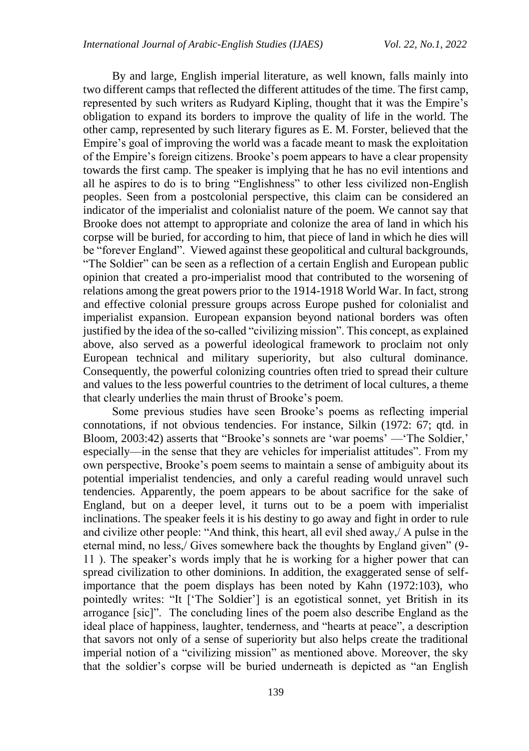By and large, English imperial literature, as well known, falls mainly into two different camps that reflected the different attitudes of the time. The first camp, represented by such writers as Rudyard Kipling, thought that it was the Empire's obligation to expand its borders to improve the quality of life in the world. The other camp, represented by such literary figures as E. M. Forster, believed that the Empire's goal of improving the world was a facade meant to mask the exploitation of the Empire's foreign citizens. Brooke's poem appears to have a clear propensity towards the first camp. The speaker is implying that he has no evil intentions and all he aspires to do is to bring "Englishness" to other less civilized non-English peoples. Seen from a postcolonial perspective, this claim can be considered an indicator of the imperialist and colonialist nature of the poem. We cannot say that Brooke does not attempt to appropriate and colonize the area of land in which his corpse will be buried, for according to him, that piece of land in which he dies will be "forever England". Viewed against these geopolitical and cultural backgrounds, "The Soldier" can be seen as a reflection of a certain English and European public opinion that created a pro-imperialist mood that contributed to the worsening of relations among the great powers prior to the 1914-1918 World War. In fact, strong and effective colonial pressure groups across Europe pushed for colonialist and imperialist expansion. European expansion beyond national borders was often justified by the idea of the so-called "civilizing mission". This concept, as explained above, also served as a powerful ideological framework to proclaim not only European technical and military superiority, but also cultural dominance. Consequently, the powerful colonizing countries often tried to spread their culture and values to the less powerful countries to the detriment of local cultures, a theme that clearly underlies the main thrust of Brooke's poem.

Some previous studies have seen Brooke's poems as reflecting imperial connotations, if not obvious tendencies. For instance, Silkin (1972: 67; qtd. in Bloom, 2003:42) asserts that "Brooke's sonnets are 'war poems' —'The Soldier,' especially—in the sense that they are vehicles for imperialist attitudes". From my own perspective, Brooke's poem seems to maintain a sense of ambiguity about its potential imperialist tendencies, and only a careful reading would unravel such tendencies. Apparently, the poem appears to be about sacrifice for the sake of England, but on a deeper level, it turns out to be a poem with imperialist inclinations. The speaker feels it is his destiny to go away and fight in order to rule and civilize other people: "And think, this heart, all evil shed away,/ A pulse in the eternal mind, no less,/ Gives somewhere back the thoughts by England given" (9- 11 ). The speaker's words imply that he is working for a higher power that can spread civilization to other dominions. In addition, the exaggerated sense of selfimportance that the poem displays has been noted by Kahn (1972:103), who pointedly writes: "It ['The Soldier'] is an egotistical sonnet, yet British in its arrogance [sic]". The concluding lines of the poem also describe England as the ideal place of happiness, laughter, tenderness, and "hearts at peace", a description that savors not only of a sense of superiority but also helps create the traditional imperial notion of a "civilizing mission" as mentioned above. Moreover, the sky that the soldier's corpse will be buried underneath is depicted as "an English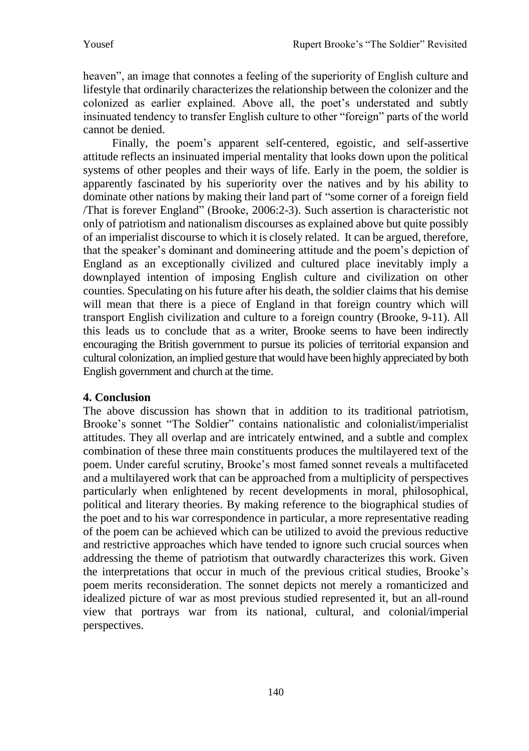heaven", an image that connotes a feeling of the superiority of English culture and lifestyle that ordinarily characterizes the relationship between the colonizer and the colonized as earlier explained. Above all, the poet's understated and subtly insinuated tendency to transfer English culture to other "foreign" parts of the world cannot be denied.

Finally, the poem's apparent self-centered, egoistic, and self-assertive attitude reflects an insinuated imperial mentality that looks down upon the political systems of other peoples and their ways of life. Early in the poem, the soldier is apparently fascinated by his superiority over the natives and by his ability to dominate other nations by making their land part of "some corner of a foreign field /That is forever England" (Brooke, 2006:2-3). Such assertion is characteristic not only of patriotism and nationalism discourses as explained above but quite possibly of an imperialist discourse to which it is closely related. It can be argued, therefore, that the speaker's dominant and domineering attitude and the poem's depiction of England as an exceptionally civilized and cultured place inevitably imply a downplayed intention of imposing English culture and civilization on other counties. Speculating on his future after his death, the soldier claims that his demise will mean that there is a piece of England in that foreign country which will transport English civilization and culture to a foreign country (Brooke, 9-11). All this leads us to conclude that as a writer, Brooke seems to have been indirectly encouraging the British government to pursue its policies of territorial expansion and cultural colonization, an implied gesture that would have been highly appreciated by both English government and church at the time.

## **4. Conclusion**

The above discussion has shown that in addition to its traditional patriotism, Brooke's sonnet "The Soldier" contains nationalistic and colonialist/imperialist attitudes. They all overlap and are intricately entwined, and a subtle and complex combination of these three main constituents produces the multilayered text of the poem. Under careful scrutiny, Brooke's most famed sonnet reveals a multifaceted and a multilayered work that can be approached from a multiplicity of perspectives particularly when enlightened by recent developments in moral, philosophical, political and literary theories. By making reference to the biographical studies of the poet and to his war correspondence in particular, a more representative reading of the poem can be achieved which can be utilized to avoid the previous reductive and restrictive approaches which have tended to ignore such crucial sources when addressing the theme of patriotism that outwardly characterizes this work. Given the interpretations that occur in much of the previous critical studies, Brooke's poem merits reconsideration. The sonnet depicts not merely a romanticized and idealized picture of war as most previous studied represented it, but an all-round view that portrays war from its national, cultural, and colonial/imperial perspectives.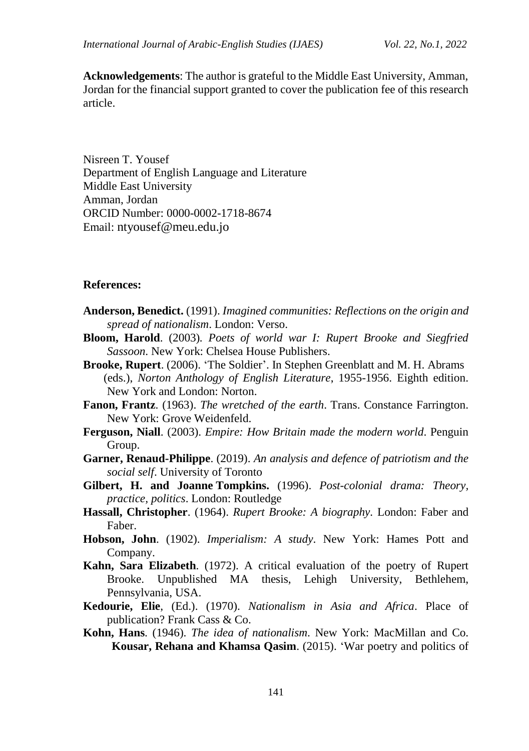**Acknowledgements**: The author is grateful to the Middle East University, Amman, Jordan for the financial support granted to cover the publication fee of this research article.

Nisreen T. Yousef Department of English Language and Literature Middle East University Amman, Jordan ORCID Number: 0000-0002-1718-8674 Email: [ntyousef@meu.edu.jo](mailto:Email:%20ntyousef@meu.edu.jo)

### **References:**

- **Anderson, Benedict.** (1991). *Imagined communities: Reflections on the origin and spread of nationalism*. London: Verso.
- **Bloom, Harold**. (2003)*. Poets of world war I: Rupert Brooke and Siegfried Sassoon*. New York: Chelsea House Publishers.
- **Brooke, Rupert**. (2006). 'The Soldier'. In Stephen Greenblatt and M. H. Abrams (eds.), *Norton Anthology of English Literature*, 1955-1956. Eighth edition. New York and London: Norton.
- **Fanon, Frantz**. (1963). *The wretched of the earth*. Trans. Constance Farrington. New York: Grove Weidenfeld.
- **Ferguson, Niall**. (2003). *Empire: How Britain made the modern world*. Penguin Group.
- **Garner, Renaud-Philippe**. (2019). *An analysis and defence of patriotism and the social self*. University of Toronto
- **Gilbert, H. and Joanne Tompkins.** (1996). *Post-colonial drama: Theory, practice, politics*. London: Routledge
- **Hassall, Christopher**. (1964). *Rupert Brooke: A biography.* London: Faber and Faber.
- **Hobson, John**. (1902). *Imperialism: A study*. New York: Hames Pott and Company.
- **Kahn, Sara Elizabeth**. (1972). A critical evaluation of the poetry of Rupert Brooke. Unpublished MA thesis, Lehigh University, Bethlehem, Pennsylvania, USA.
- **Kedourie, Elie**, (Ed.). (1970). *Nationalism in Asia and Africa*. Place of publication? Frank Cass & Co.
- **Kohn, Hans**. (1946). *The idea of nationalism*. New York: MacMillan and Co. **Kousar, Rehana and Khamsa Qasim**. (2015). 'War poetry and politics of